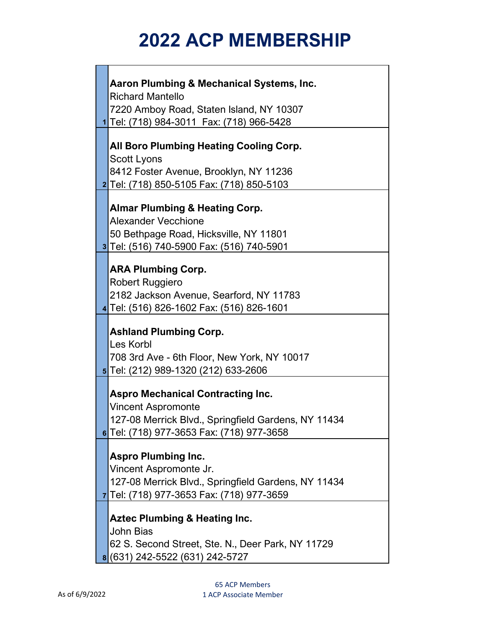| Aaron Plumbing & Mechanical Systems, Inc.                                                                                                                                 |
|---------------------------------------------------------------------------------------------------------------------------------------------------------------------------|
| <b>Richard Mantello</b>                                                                                                                                                   |
| 7220 Amboy Road, Staten Island, NY 10307                                                                                                                                  |
| 1 Tel: (718) 984-3011  Fax: (718) 966-5428                                                                                                                                |
| All Boro Plumbing Heating Cooling Corp.<br><b>Scott Lyons</b><br>8412 Foster Avenue, Brooklyn, NY 11236<br>2 Tel: (718) 850-5105 Fax: (718) 850-5103                      |
| <b>Almar Plumbing &amp; Heating Corp.</b><br><b>Alexander Vecchione</b><br>50 Bethpage Road, Hicksville, NY 11801<br>3 Tel: (516) 740-5900 Fax: (516) 740-5901            |
| <b>ARA Plumbing Corp.</b><br>Robert Ruggiero<br>2182 Jackson Avenue, Searford, NY 11783<br>4 Tel: (516) 826-1602 Fax: (516) 826-1601                                      |
| <b>Ashland Plumbing Corp.</b><br>Les Korbl<br>708 3rd Ave - 6th Floor, New York, NY 10017<br>5 Tel: (212) 989-1320 (212) 633-2606                                         |
| <b>Aspro Mechanical Contracting Inc.</b><br><b>Vincent Aspromonte</b><br>127-08 Merrick Blvd., Springfield Gardens, NY 11434<br>6 Tel: (718) 977-3653 Fax: (718) 977-3658 |
| <b>Aspro Plumbing Inc.</b><br>Vincent Aspromonte Jr.<br>127-08 Merrick Blvd., Springfield Gardens, NY 11434<br>7Tel: (718) 977-3653 Fax: (718) 977-3659                   |
| <b>Aztec Plumbing &amp; Heating Inc.</b><br><b>John Bias</b><br>62 S. Second Street, Ste. N., Deer Park, NY 11729<br>8 (631) 242-5522 (631) 242-5727                      |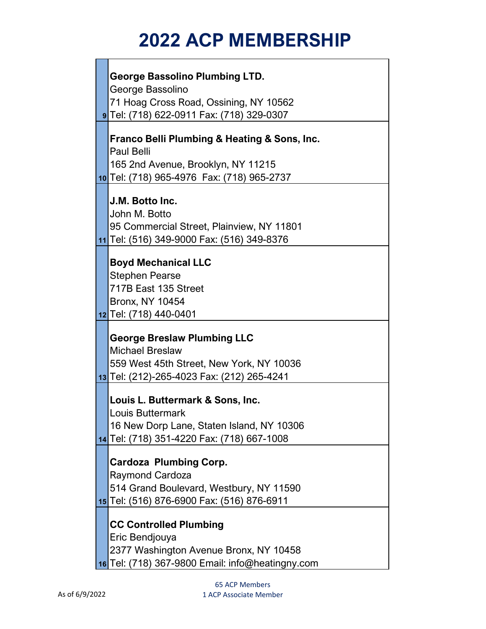| <b>George Bassolino Plumbing LTD.</b>                       |
|-------------------------------------------------------------|
| George Bassolino                                            |
| 71 Hoag Cross Road, Ossining, NY 10562                      |
| <b>9</b> Tel: (718) 622-0911 Fax: (718) 329-0307            |
|                                                             |
| <b>Franco Belli Plumbing &amp; Heating &amp; Sons, Inc.</b> |
| <b>Paul Belli</b>                                           |
| 165 2nd Avenue, Brooklyn, NY 11215                          |
| 10 Tel: (718) 965-4976 Fax: (718) 965-2737                  |
| J.M. Botto Inc.                                             |
| John M. Botto                                               |
| 95 Commercial Street, Plainview, NY 11801                   |
| 11 Tel: (516) 349-9000 Fax: (516) 349-8376                  |
|                                                             |
| <b>Boyd Mechanical LLC</b>                                  |
| <b>Stephen Pearse</b>                                       |
| 717B East 135 Street                                        |
| <b>Bronx, NY 10454</b>                                      |
| 12 Tel: (718) 440-0401                                      |
|                                                             |
| <b>George Breslaw Plumbing LLC</b>                          |
| <b>Michael Breslaw</b>                                      |
| 559 West 45th Street, New York, NY 10036                    |
| 13 Tel: (212)-265-4023 Fax: (212) 265-4241                  |
| Louis L. Buttermark & Sons, Inc.                            |
| Louis Buttermark                                            |
| 16 New Dorp Lane, Staten Island, NY 10306                   |
| 14 Tel: (718) 351-4220 Fax: (718) 667-1008                  |
|                                                             |
| <b>Cardoza Plumbing Corp.</b>                               |
| <b>Raymond Cardoza</b>                                      |
| 514 Grand Boulevard, Westbury, NY 11590                     |
| 15 Tel: (516) 876-6900 Fax: (516) 876-6911                  |
| <b>CC Controlled Plumbing</b>                               |
| Eric Bendjouya                                              |
| 2377 Washington Avenue Bronx, NY 10458                      |
| 16 Tel: (718) 367-9800 Email: info@heatingny.com            |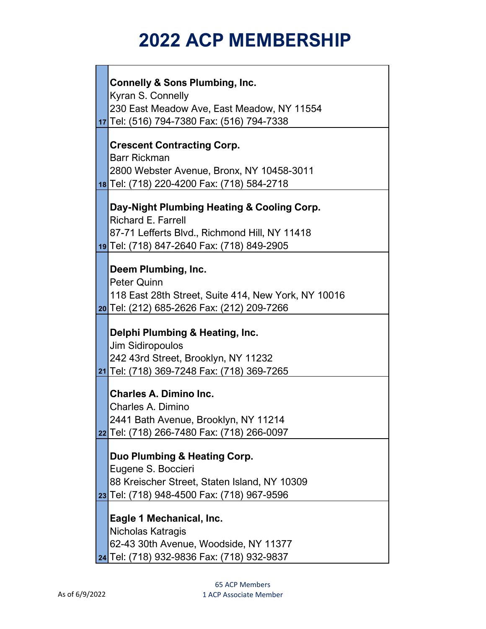| <b>Connelly &amp; Sons Plumbing, Inc.</b>           |
|-----------------------------------------------------|
| Kyran S. Connelly                                   |
| 230 East Meadow Ave, East Meadow, NY 11554          |
| 17 Tel: (516) 794-7380 Fax: (516) 794-7338          |
|                                                     |
| <b>Crescent Contracting Corp.</b>                   |
| <b>Barr Rickman</b>                                 |
| 2800 Webster Avenue, Bronx, NY 10458-3011           |
| 18 Tel: (718) 220-4200 Fax: (718) 584-2718          |
|                                                     |
| Day-Night Plumbing Heating & Cooling Corp.          |
| <b>Richard E. Farrell</b>                           |
| 87-71 Lefferts Blvd., Richmond Hill, NY 11418       |
| 19 Tel: (718) 847-2640 Fax: (718) 849-2905          |
|                                                     |
| Deem Plumbing, Inc.                                 |
| <b>Peter Quinn</b>                                  |
| 118 East 28th Street, Suite 414, New York, NY 10016 |
| 20 Tel: (212) 685-2626 Fax: (212) 209-7266          |
|                                                     |
| Delphi Plumbing & Heating, Inc.                     |
| Jim Sidiropoulos                                    |
| 242 43rd Street, Brooklyn, NY 11232                 |
| 21 Tel: (718) 369-7248 Fax: (718) 369-7265          |
| <b>Charles A. Dimino Inc.</b>                       |
| Charles A. Dimino                                   |
| 2441 Bath Avenue, Brooklyn, NY 11214                |
| 22 Tel: (718) 266-7480 Fax: (718) 266-0097          |
|                                                     |
| Duo Plumbing & Heating Corp.                        |
| Eugene S. Boccieri                                  |
| 88 Kreischer Street, Staten Island, NY 10309        |
| 23 Tel: (718) 948-4500 Fax: (718) 967-9596          |
|                                                     |
| Eagle 1 Mechanical, Inc.                            |
| Nicholas Katragis                                   |
| 62-43 30th Avenue, Woodside, NY 11377               |
| 24 Tel: (718) 932-9836 Fax: (718) 932-9837          |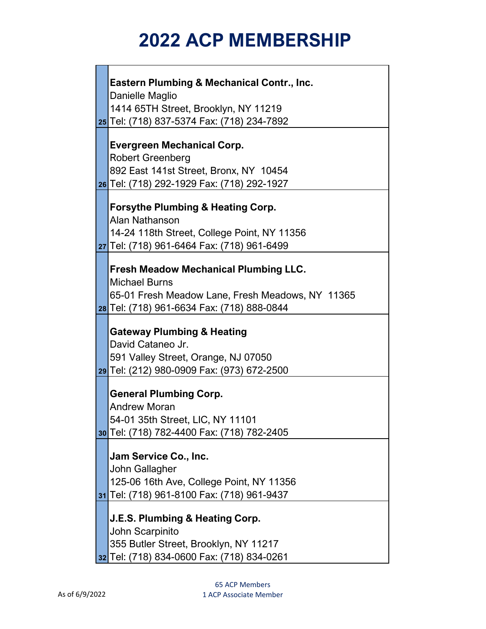| <b>Eastern Plumbing &amp; Mechanical Contr., Inc.</b>                                  |
|----------------------------------------------------------------------------------------|
| <b>Danielle Maglio</b>                                                                 |
| 1414 65TH Street, Brooklyn, NY 11219                                                   |
| 25 Tel: (718) 837-5374 Fax: (718) 234-7892                                             |
| <b>Evergreen Mechanical Corp.</b>                                                      |
| <b>Robert Greenberg</b>                                                                |
| 892 East 141st Street, Bronx, NY 10454                                                 |
| 26 Tel: (718) 292-1929 Fax: (718) 292-1927                                             |
|                                                                                        |
| <b>Forsythe Plumbing &amp; Heating Corp.</b>                                           |
| Alan Nathanson                                                                         |
| 14-24 118th Street, College Point, NY 11356                                            |
| 27 Tel: (718) 961-6464 Fax: (718) 961-6499                                             |
|                                                                                        |
| <b>Fresh Meadow Mechanical Plumbing LLC.</b>                                           |
| <b>Michael Burns</b>                                                                   |
| 65-01 Fresh Meadow Lane, Fresh Meadows, NY 11365                                       |
| 28 Tel: (718) 961-6634 Fax: (718) 888-0844                                             |
|                                                                                        |
| <b>Gateway Plumbing &amp; Heating</b>                                                  |
|                                                                                        |
| David Cataneo Jr.                                                                      |
| 591 Valley Street, Orange, NJ 07050                                                    |
| 29 Tel: (212) 980-0909 Fax: (973) 672-2500                                             |
|                                                                                        |
| <b>General Plumbing Corp.</b>                                                          |
| <b>Andrew Moran</b>                                                                    |
| 54-01 35th Street, LIC, NY 11101                                                       |
| <b>30</b> Tel: (718) 782-4400 Fax: (718) 782-2405                                      |
| Jam Service Co., Inc.                                                                  |
| John Gallagher                                                                         |
|                                                                                        |
| 125-06 16th Ave, College Point, NY 11356<br>31 Tel: (718) 961-8100 Fax: (718) 961-9437 |
|                                                                                        |
| <b>J.E.S. Plumbing &amp; Heating Corp.</b>                                             |
| John Scarpinito                                                                        |
| 355 Butler Street, Brooklyn, NY 11217                                                  |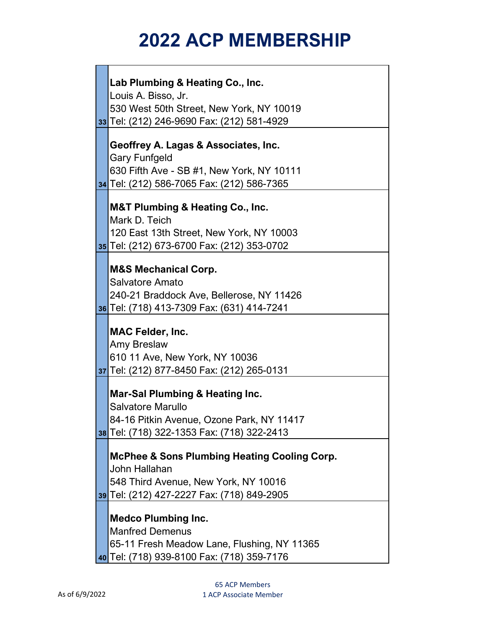| Lab Plumbing & Heating Co., Inc.                        |
|---------------------------------------------------------|
| Louis A. Bisso, Jr.                                     |
| 530 West 50th Street, New York, NY 10019                |
| 33 Tel: (212) 246-9690 Fax: (212) 581-4929              |
|                                                         |
| Geoffrey A. Lagas & Associates, Inc.                    |
| <b>Gary Funfgeld</b>                                    |
| 630 Fifth Ave - SB #1, New York, NY 10111               |
| 34 Tel: (212) 586-7065 Fax: (212) 586-7365              |
|                                                         |
| <b>M&amp;T Plumbing &amp; Heating Co., Inc.</b>         |
| Mark D. Teich                                           |
| 120 East 13th Street, New York, NY 10003                |
| 35 Tel: (212) 673-6700 Fax: (212) 353-0702              |
|                                                         |
| <b>M&amp;S Mechanical Corp.</b>                         |
| <b>Salvatore Amato</b>                                  |
| 240-21 Braddock Ave, Bellerose, NY 11426                |
| 36 Tel: (718) 413-7309 Fax: (631) 414-7241              |
|                                                         |
| <b>MAC Felder, Inc.</b>                                 |
| Amy Breslaw                                             |
| 610 11 Ave, New York, NY 10036                          |
| 37 Tel: (212) 877-8450 Fax: (212) 265-0131              |
|                                                         |
| Mar-Sal Plumbing & Heating Inc.                         |
| Salvatore Marullo                                       |
| 84-16 Pitkin Avenue, Ozone Park, NY 11417               |
| 38 Tel: (718) 322-1353 Fax: (718) 322-2413              |
|                                                         |
| <b>McPhee &amp; Sons Plumbing Heating Cooling Corp.</b> |
| John Hallahan                                           |
| 548 Third Avenue, New York, NY 10016                    |
| 39 Tel: (212) 427-2227 Fax: (718) 849-2905              |
|                                                         |
| <b>Medco Plumbing Inc.</b>                              |
| <b>Manfred Demenus</b>                                  |
| 65-11 Fresh Meadow Lane, Flushing, NY 11365             |
| 40 Tel: (718) 939-8100 Fax: (718) 359-7176              |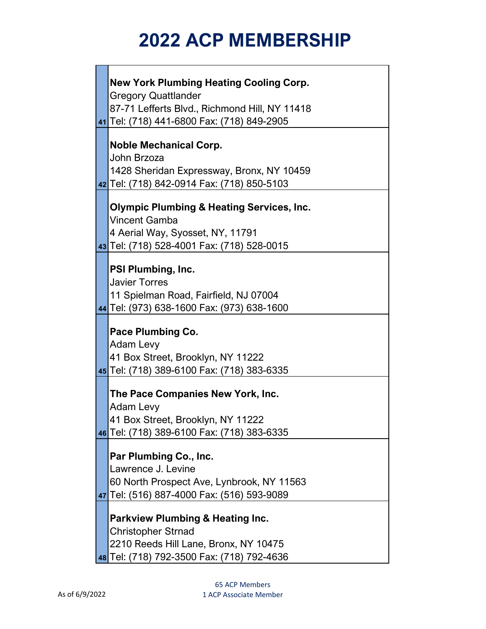| <b>New York Plumbing Heating Cooling Corp.</b>       |
|------------------------------------------------------|
| <b>Gregory Quattlander</b>                           |
| 87-71 Lefferts Blvd., Richmond Hill, NY 11418        |
| 41 Tel: (718) 441-6800 Fax: (718) 849-2905           |
|                                                      |
| <b>Noble Mechanical Corp.</b>                        |
| John Brzoza                                          |
| 1428 Sheridan Expressway, Bronx, NY 10459            |
| 42 Tel: (718) 842-0914 Fax: (718) 850-5103           |
|                                                      |
| <b>Olympic Plumbing &amp; Heating Services, Inc.</b> |
| Vincent Gamba                                        |
| 4 Aerial Way, Syosset, NY, 11791                     |
| 43 Tel: (718) 528-4001 Fax: (718) 528-0015           |
|                                                      |
| PSI Plumbing, Inc.                                   |
| <b>Javier Torres</b>                                 |
| 11 Spielman Road, Fairfield, NJ 07004                |
| 44 Tel: (973) 638-1600 Fax: (973) 638-1600           |
|                                                      |
| <b>Pace Plumbing Co.</b>                             |
| <b>Adam Levy</b>                                     |
| 41 Box Street, Brooklyn, NY 11222                    |
| 45 Tel: (718) 389-6100 Fax: (718) 383-6335           |
| The Pace Companies New York, Inc.                    |
| <b>Adam Levy</b>                                     |
|                                                      |
| 41 Box Street, Brooklyn, NY 11222                    |
| 46 Tel: (718) 389-6100 Fax: (718) 383-6335           |
| Par Plumbing Co., Inc.                               |
| Lawrence J. Levine                                   |
| 60 North Prospect Ave, Lynbrook, NY 11563            |
| 47 Tel: (516) 887-4000 Fax: (516) 593-9089           |
|                                                      |
| <b>Parkview Plumbing &amp; Heating Inc.</b>          |
| <b>Christopher Strnad</b>                            |
| 2210 Reeds Hill Lane, Bronx, NY 10475                |
| 48 Tel: (718) 792-3500 Fax: (718) 792-4636           |
|                                                      |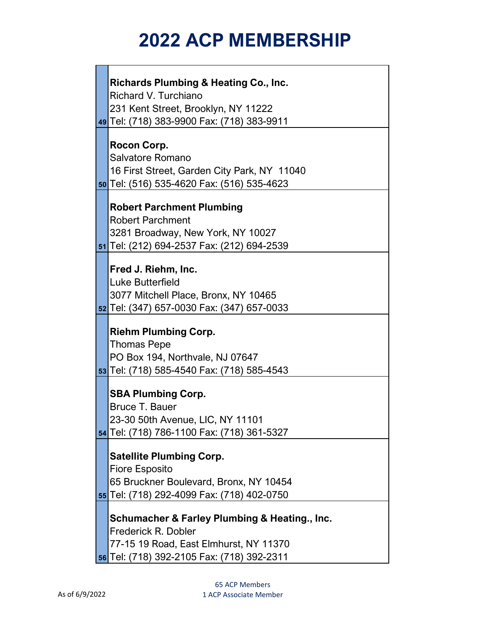|  | <b>Richards Plumbing &amp; Heating Co., Inc.</b> |
|--|--------------------------------------------------|
|  | Richard V. Turchiano                             |
|  | 231 Kent Street, Brooklyn, NY 11222              |
|  | 49 Tel: (718) 383-9900 Fax: (718) 383-9911       |
|  |                                                  |
|  | Rocon Corp.                                      |
|  | Salvatore Romano                                 |
|  | 16 First Street, Garden City Park, NY 11040      |
|  | 50 Tel: (516) 535-4620 Fax: (516) 535-4623       |
|  | <b>Robert Parchment Plumbing</b>                 |
|  | <b>Robert Parchment</b>                          |
|  | 3281 Broadway, New York, NY 10027                |
|  | 51 Tel: (212) 694-2537 Fax: (212) 694-2539       |
|  |                                                  |
|  | Fred J. Riehm, Inc.                              |
|  | Luke Butterfield                                 |
|  | 3077 Mitchell Place, Bronx, NY 10465             |
|  | 52 Tel: (347) 657-0030 Fax: (347) 657-0033       |
|  |                                                  |
|  | <b>Riehm Plumbing Corp.</b>                      |
|  | <b>Thomas Pepe</b>                               |
|  | PO Box 194, Northvale, NJ 07647                  |
|  | 53 Tel: (718) 585-4540 Fax: (718) 585-4543       |
|  | <b>SBA Plumbing Corp.</b>                        |
|  | Bruce T. Bauer                                   |
|  | 23-30 50th Avenue, LIC, NY 11101                 |
|  | 54 Tel: (718) 786-1100 Fax: (718) 361-5327       |
|  |                                                  |
|  | <b>Satellite Plumbing Corp.</b>                  |
|  | <b>Fiore Esposito</b>                            |
|  | 65 Bruckner Boulevard, Bronx, NY 10454           |
|  | 55 Tel: (718) 292-4099 Fax: (718) 402-0750       |
|  | Schumacher & Farley Plumbing & Heating., Inc.    |
|  | Frederick R. Dobler                              |
|  | 77-15 19 Road, East Elmhurst, NY 11370           |
|  | 56 Tel: (718) 392-2105 Fax: (718) 392-2311       |
|  |                                                  |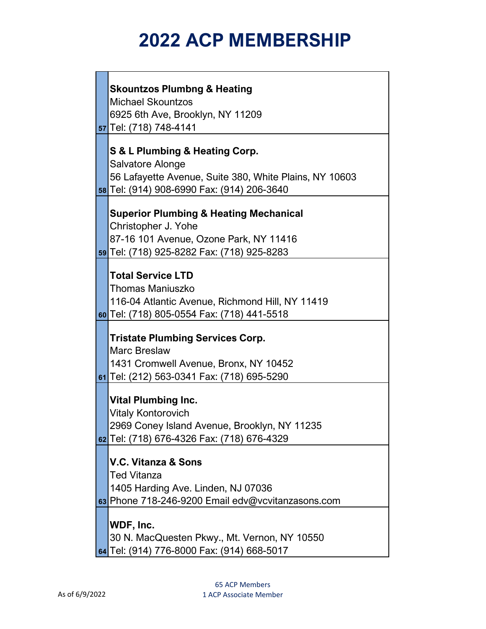| <b>Skountzos Plumbng &amp; Heating</b><br><b>Michael Skountzos</b><br>6925 6th Ave, Brooklyn, NY 11209<br>57 Tel: (718) 748-4141                                 |
|------------------------------------------------------------------------------------------------------------------------------------------------------------------|
| S & L Plumbing & Heating Corp.<br>Salvatore Alonge<br>56 Lafayette Avenue, Suite 380, White Plains, NY 10603<br>58 Tel: (914) 908-6990 Fax: (914) 206-3640       |
| <b>Superior Plumbing &amp; Heating Mechanical</b><br>Christopher J. Yohe<br>87-16 101 Avenue, Ozone Park, NY 11416<br>59 Tel: (718) 925-8282 Fax: (718) 925-8283 |
| <b>Total Service LTD</b><br><b>Thomas Maniuszko</b><br>116-04 Atlantic Avenue, Richmond Hill, NY 11419<br>60 Tel: (718) 805-0554 Fax: (718) 441-5518             |
| <b>Tristate Plumbing Services Corp.</b><br><b>Marc Breslaw</b><br>1431 Cromwell Avenue, Bronx, NY 10452                                                          |

**61** Tel: (212) 563-0341 Fax: (718) 695-5290

#### **Vital Plumbing Inc.**

**62** Tel: (718) 676-4326 Fax: (718) 676-4329 Vitaly Kontorovich 2969 Coney Island Avenue, Brooklyn, NY 11235

#### **V.C. Vitanza & Sons**

Ted Vitanza

1405 Harding Ave. Linden, NJ 07036

**63** Phone 718-246-9200 Email edv@vcvitanzasons.com

#### **WDF, Inc.**

**64** Tel: (914) 776-8000 Fax: (914) 668-5017 30 N. MacQuesten Pkwy., Mt. Vernon, NY 10550